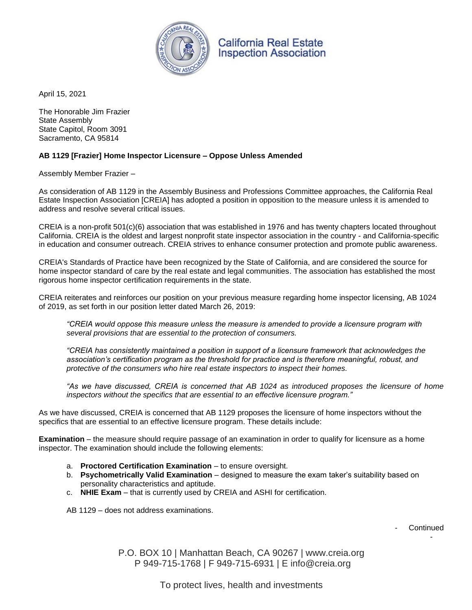

**California Real Estate Inspection Association** 

April 15, 2021

The Honorable Jim Frazier State Assembly State Capitol, Room 3091 Sacramento, CA 95814

## **AB 1129 [Frazier] Home Inspector Licensure – Oppose Unless Amended**

Assembly Member Frazier –

As consideration of AB 1129 in the Assembly Business and Professions Committee approaches, the California Real Estate Inspection Association [CREIA] has adopted a position in opposition to the measure unless it is amended to address and resolve several critical issues.

CREIA is a non-profit 501(c)(6) association that was established in 1976 and has twenty chapters located throughout California. CREIA is the oldest and largest nonprofit state inspector association in the country - and California-specific in education and consumer outreach. CREIA strives to enhance consumer protection and promote public awareness.

CREIA's Standards of Practice have been recognized by the State of California, and are considered the source for home inspector standard of care by the real estate and legal communities. The association has established the most rigorous home inspector certification requirements in the state.

CREIA reiterates and reinforces our position on your previous measure regarding home inspector licensing, AB 1024 of 2019, as set forth in our position letter dated March 26, 2019:

*"CREIA would oppose this measure unless the measure is amended to provide a licensure program with several provisions that are essential to the protection of consumers.* 

*"CREIA has consistently maintained a position in support of a licensure framework that acknowledges the association's certification program as the threshold for practice and is therefore meaningful, robust, and protective of the consumers who hire real estate inspectors to inspect their homes.* 

*"As we have discussed, CREIA is concerned that AB 1024 as introduced proposes the licensure of home inspectors without the specifics that are essential to an effective licensure program."*

As we have discussed, CREIA is concerned that AB 1129 proposes the licensure of home inspectors without the specifics that are essential to an effective licensure program. These details include:

**Examination** – the measure should require passage of an examination in order to qualify for licensure as a home inspector. The examination should include the following elements:

- a. **Proctored Certification Examination** to ensure oversight.
- b. **Psychometrically Valid Examination** designed to measure the exam taker's suitability based on personality characteristics and aptitude.
- c. **NHIE Exam** that is currently used by CREIA and ASHI for certification.

AB 1129 – does not address examinations.

**Continued** 

-

P.O. BOX 10 | Manhattan Beach, CA 90267 | www.creia.org P 949-715-1768 | F 949-715-6931 | E info@creia.org

To protect lives, health and investments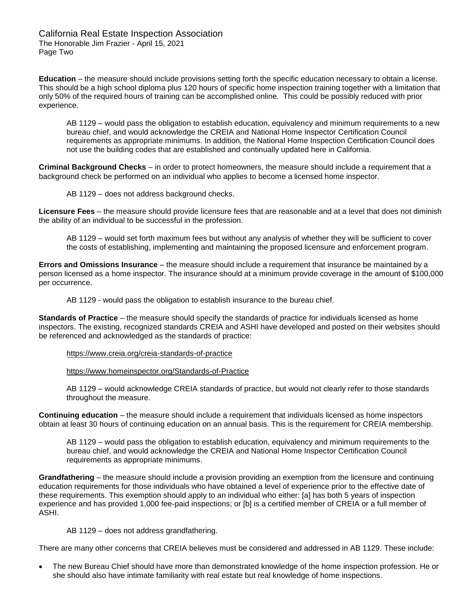California Real Estate Inspection Association The Honorable Jim Frazier - April 15, 2021 Page Two

**Education** – the measure should include provisions setting forth the specific education necessary to obtain a license. This should be a high school diploma plus 120 hours of specific home inspection training together with a limitation that only 50% of the required hours of training can be accomplished online. This could be possibly reduced with prior experience.

AB 1129 – would pass the obligation to establish education, equivalency and minimum requirements to a new bureau chief, and would acknowledge the CREIA and National Home Inspector Certification Council requirements as appropriate minimums. In addition, the National Home Inspection Certification Council does not use the building codes that are established and continually updated here in California.

**Criminal Background Checks** – in order to protect homeowners, the measure should include a requirement that a background check be performed on an individual who applies to become a licensed home inspector.

AB 1129 – does not address background checks.

**Licensure Fees** – the measure should provide licensure fees that are reasonable and at a level that does not diminish the ability of an individual to be successful in the profession.

AB 1129 – would set forth maximum fees but without any analysis of whether they will be sufficient to cover the costs of establishing, implementing and maintaining the proposed licensure and enforcement program.

**Errors and Omissions Insurance** – the measure should include a requirement that insurance be maintained by a person licensed as a home inspector. The insurance should at a minimum provide coverage in the amount of \$100,000 per occurrence.

AB 1129 - would pass the obligation to establish insurance to the bureau chief.

**Standards of Practice** – the measure should specify the standards of practice for individuals licensed as home inspectors. The existing, recognized standards CREIA and ASHI have developed and posted on their websites should be referenced and acknowledged as the standards of practice:

## <https://www.creia.org/creia-standards-of-practice>

<https://www.homeinspector.org/Standards-of-Practice>

AB 1129 – would acknowledge CREIA standards of practice, but would not clearly refer to those standards throughout the measure.

**Continuing education** – the measure should include a requirement that individuals licensed as home inspectors obtain at least 30 hours of continuing education on an annual basis. This is the requirement for CREIA membership.

AB 1129 – would pass the obligation to establish education, equivalency and minimum requirements to the bureau chief, and would acknowledge the CREIA and National Home Inspector Certification Council requirements as appropriate minimums.

**Grandfathering** – the measure should include a provision providing an exemption from the licensure and continuing education requirements for those individuals who have obtained a level of experience prior to the effective date of these requirements. This exemption should apply to an individual who either: [a] has both 5 years of inspection experience and has provided 1,000 fee-paid inspections; or [b] is a certified member of CREIA or a full member of ASHI.

AB 1129 – does not address grandfathering.

There are many other concerns that CREIA believes must be considered and addressed in AB 1129. These include:

 The new Bureau Chief should have more than demonstrated knowledge of the home inspection profession. He or she should also have intimate familiarity with real estate but real knowledge of home inspections.